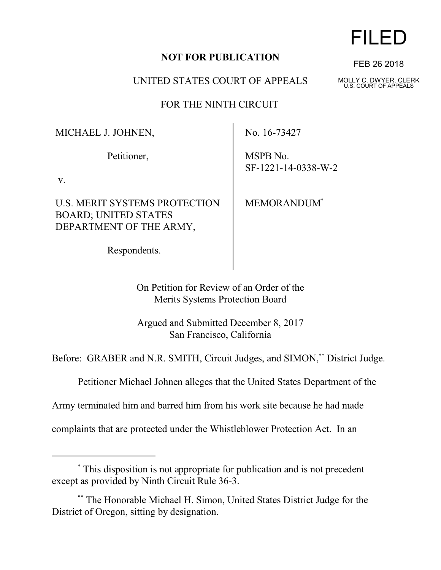## **NOT FOR PUBLICATION**

UNITED STATES COURT OF APPEALS

FOR THE NINTH CIRCUIT

MICHAEL J. JOHNEN,

Petitioner,

v.

U.S. MERIT SYSTEMS PROTECTION BOARD; UNITED STATES DEPARTMENT OF THE ARMY,

Respondents.

No. 16-73427

MSPB No. SF-1221-14-0338-W-2

MEMORANDUM\*

On Petition for Review of an Order of the

Merits Systems Protection Board

Argued and Submitted December 8, 2017 San Francisco, California

Before: GRABER and N.R. SMITH, Circuit Judges, and SIMON,\*\* District Judge.

Petitioner Michael Johnen alleges that the United States Department of the

Army terminated him and barred him from his work site because he had made

complaints that are protected under the Whistleblower Protection Act. In an

## \* This disposition is not appropriate for publication and is not precedent except as provided by Ninth Circuit Rule 36-3.

\*\* The Honorable Michael H. Simon, United States District Judge for the District of Oregon, sitting by designation.

## FILED

FEB 26 2018

MOLLY C. DWYER, CLERK U.S. COURT OF APPEALS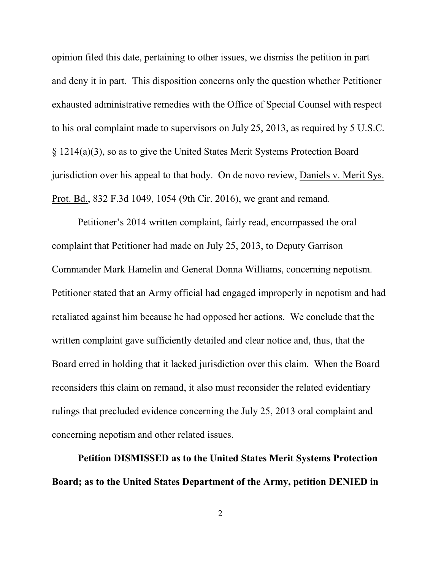opinion filed this date, pertaining to other issues, we dismiss the petition in part and deny it in part. This disposition concerns only the question whether Petitioner exhausted administrative remedies with the Office of Special Counsel with respect to his oral complaint made to supervisors on July 25, 2013, as required by 5 U.S.C. § 1214(a)(3), so as to give the United States Merit Systems Protection Board jurisdiction over his appeal to that body. On de novo review, Daniels v. Merit Sys. Prot. Bd., 832 F.3d 1049, 1054 (9th Cir. 2016), we grant and remand.

Petitioner's 2014 written complaint, fairly read, encompassed the oral complaint that Petitioner had made on July 25, 2013, to Deputy Garrison Commander Mark Hamelin and General Donna Williams, concerning nepotism. Petitioner stated that an Army official had engaged improperly in nepotism and had retaliated against him because he had opposed her actions. We conclude that the written complaint gave sufficiently detailed and clear notice and, thus, that the Board erred in holding that it lacked jurisdiction over this claim. When the Board reconsiders this claim on remand, it also must reconsider the related evidentiary rulings that precluded evidence concerning the July 25, 2013 oral complaint and concerning nepotism and other related issues.

**Petition DISMISSED as to the United States Merit Systems Protection Board; as to the United States Department of the Army, petition DENIED in**